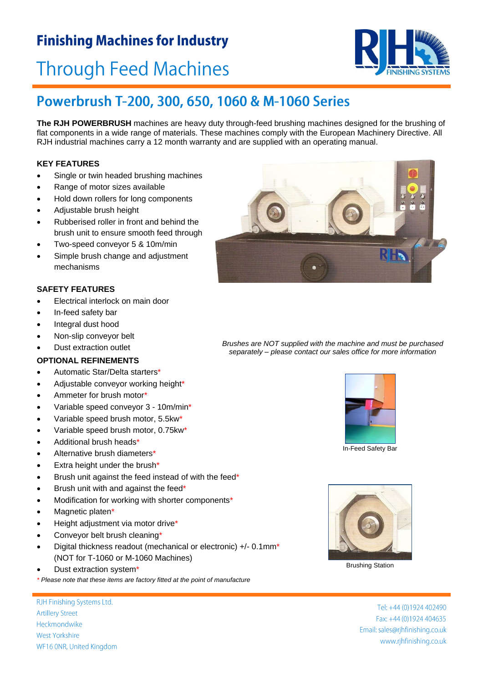### **Finishing Machines for Industry**

# **Through Feed Machines**

### Powerbrush T-200, 300, 650, 1060 & M-1060 Series

**The RJH POWERBRUSH** machines are heavy duty through-feed brushing machines designed for the brushing of flat components in a wide range of materials. These machines comply with the European Machinery Directive. All RJH industrial machines carry a 12 month warranty and are supplied with an operating manual.

#### **KEY FEATURES**

- Single or twin headed brushing machines
- Range of motor sizes available
- Hold down rollers for long components
- Adjustable brush height
- Rubberised roller in front and behind the brush unit to ensure smooth feed through
- Two-speed conveyor 5 & 10m/min
- Simple brush change and adjustment mechanisms

#### **SAFETY FEATURES**

- Electrical interlock on main door
- In-feed safety bar
- Integral dust hood
- Non-slip conveyor belt
- 

#### **OPTIONAL REFINEMENTS**

- Automatic Star/Delta starters\*
- Adjustable conveyor working height\*
- Ammeter for brush motor\*
- Variable speed conveyor 3 10m/min\*
- Variable speed brush motor, 5.5kw\*
- Variable speed brush motor, 0.75kw\*
- Additional brush heads\*
- Alternative brush diameters\*
- Extra height under the brush\*
- Brush unit against the feed instead of with the feed\*
- Brush unit with and against the feed\*
- Modification for working with shorter components\*
- Magnetic platen\*
- Height adjustment via motor drive\*
- Conveyor belt brush cleaning\*
- Digital thickness readout (mechanical or electronic) +/- 0.1mm\* (NOT for T-1060 or M-1060 Machines)
- Dust extraction system\*
- *\* Please note that these items are factory fitted at the point of manufacture*

RJH Finishing Systems Ltd. **Artillery Street** Heckmondwike West Yorkshire WF16 ONR, United Kingdom



 Dust extraction outlet *Brushes are NOT supplied with the machine and must be purchased separately – please contact our sales office for more information*







Brushing Station

Tel: +44 (0)1924 402490 Fax: +44 (0)1924 404635 Email: sales@rjhfinishing.co.uk www.rjhfinishing.co.uk